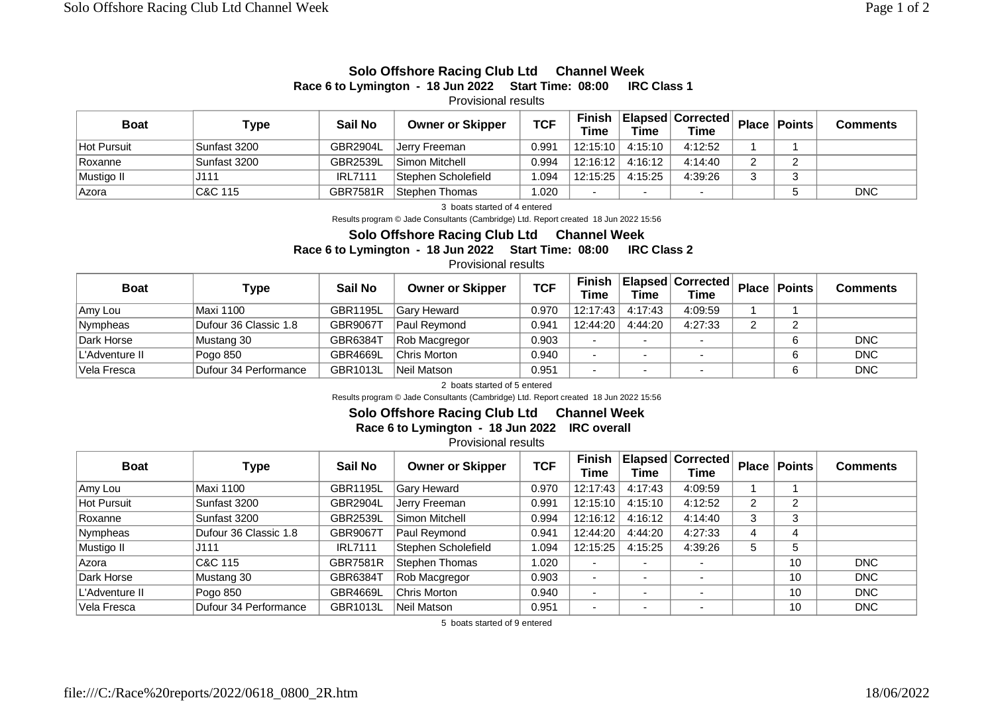## **Solo Offshore Racing Club Ltd Channel Week Race 6 to Lymington - 18 Jun 2022 Start Time: 08:00 IRC Class 1**

Provisional results

| <b>Boat</b> | Type         | Sail No         | <b>Owner or Skipper</b> | <b>TCF</b> | <b>Finish</b><br><b>Time</b> | Time                     | Elapsed   Corrected  <br>Time | <b>Place</b> | Points | <b>Comments</b> |
|-------------|--------------|-----------------|-------------------------|------------|------------------------------|--------------------------|-------------------------------|--------------|--------|-----------------|
| Hot Pursuit | Sunfast 3200 | GBR2904L        | IJerrv Freeman          | 0.991      | 12:15:10                     | 4:15:10                  | 4:12:52                       |              |        |                 |
| Roxanne     | Sunfast 3200 | <b>GBR2539L</b> | Simon Mitchell          | 0.994      | 12:16:12                     | 4:16:12                  | 4:14:40                       |              | ົ      |                 |
| Mustigo II  | J111         | <b>IRL7111</b>  | Stephen Scholefield     | 1.094      | 12:15:25                     | 4:15:25                  | 4:39:26                       | C            | ົ      |                 |
| ⊦Azora      | C&C 115      | <b>GBR7581R</b> | Stephen Thomas          | 1.020      |                              | $\overline{\phantom{a}}$ | $\overline{\phantom{a}}$      |              |        | <b>DNC</b>      |

3 boats started of 4 entered

Results program © Jade Consultants (Cambridge) Ltd. Report created 18 Jun 2022 15:56

## **Solo Offshore Racing Club Ltd Channel Week Race 6 to Lymington - 18 Jun 2022 Start Time: 08:00 IRC Class 2**

Provisional results

| <b>Boat</b>    | Type                  | Sail No         | <b>Owner or Skipper</b> | <b>TCF</b> | Finish<br><b>Time</b>    | <b>Time</b>              | <b>Elapsed Corrected</b><br>Time |   | Place   Points | Comments   |
|----------------|-----------------------|-----------------|-------------------------|------------|--------------------------|--------------------------|----------------------------------|---|----------------|------------|
| Amy Lou        | Maxi 1100             | <b>GBR1195L</b> | Gary Heward             | 0.970      | 12:17:43                 | 4:17:43                  | 4:09:59                          |   |                |            |
| Nympheas       | Dufour 36 Classic 1.8 | <b>GBR9067T</b> | Paul Reymond            | 0.941      | 12:44:20                 | 4:44:20                  | 4:27:33                          | n | $\sim$         |            |
| Dark Horse     | Mustang 30            | GBR6384T        | Rob Macgregor           | 0.903      |                          | $\overline{\phantom{a}}$ | . .                              |   |                | <b>DNC</b> |
| L'Adventure II | Pogo 850              | <b>GBR4669L</b> | Chris Morton            | 0.940      | $\overline{\phantom{0}}$ | $\overline{\phantom{0}}$ | . .                              |   | 6              | <b>DNC</b> |
| Vela Fresca    | Dufour 34 Performance | GBR1013L        | Neil Matson             | 0.951      |                          |                          |                                  |   | 6              | <b>DNC</b> |

2 boats started of 5 entered

Results program © Jade Consultants (Cambridge) Ltd. Report created 18 Jun 2022 15:56

## **Solo Offshore Racing Club Ltd Channel Week**

**Race 6 to Lymington - 18 Jun 2022 IRC overall** 

Provisional results

| <b>Boat</b>        | Type                  | Sail No         | <b>Owner or Skipper</b> | <b>TCF</b> | Finish<br>Time           | Time                     | Elapsed Corrected<br><b>Time</b> | <b>Place</b> | Points | <b>Comments</b> |
|--------------------|-----------------------|-----------------|-------------------------|------------|--------------------------|--------------------------|----------------------------------|--------------|--------|-----------------|
| Amy Lou            | <b>Maxi 1100</b>      | GBR1195L        | <b>Gary Heward</b>      | 0.970      | 12:17:43                 | 4:17:43                  | 4:09:59                          |              |        |                 |
| <b>Hot Pursuit</b> | Sunfast 3200          | GBR2904L        | Jerry Freeman           | 0.991      | 12:15:10                 | 4:15:10                  | 4:12:52                          | ົ            | 2      |                 |
| Roxanne            | Sunfast 3200          | GBR2539L        | Simon Mitchell          | 0.994      | 12:16:12                 | 4:16:12                  | 4:14:40                          | 3            | 3      |                 |
| Nympheas           | Dufour 36 Classic 1.8 | <b>GBR9067T</b> | Paul Reymond            | 0.941      | 12:44:20                 | 4:44:20                  | 4:27:33                          | 4            | 4      |                 |
| Mustigo II         | J111                  | <b>IRL7111</b>  | Stephen Scholefield     | 1.094      | 12:15:25                 | 4:15:25                  | 4:39:26                          | 5            | 5      |                 |
| Azora              | C&C 115               | <b>GBR7581R</b> | Stephen Thomas          | 1.020      | $\overline{\phantom{0}}$ | $\overline{\phantom{0}}$ | $\overline{\phantom{0}}$         |              | 10     | DNC             |
| Dark Horse         | Mustang 30            | GBR6384T        | Rob Macgregor           | 0.903      |                          | $\overline{\phantom{0}}$ | $\overline{\phantom{a}}$         |              | 10     | <b>DNC</b>      |
| L'Adventure II     | Pogo 850              | GBR4669L        | Chris Morton            | 0.940      | $\blacksquare$           | $\overline{\phantom{0}}$ | $\overline{\phantom{0}}$         |              | 10     | <b>DNC</b>      |
| Vela Fresca        | Dufour 34 Performance | GBR1013L        | Neil Matson             | 0.951      | $\blacksquare$           | $\overline{\phantom{0}}$ | $\overline{\phantom{0}}$         |              | 10     | <b>DNC</b>      |

5 boats started of 9 entered